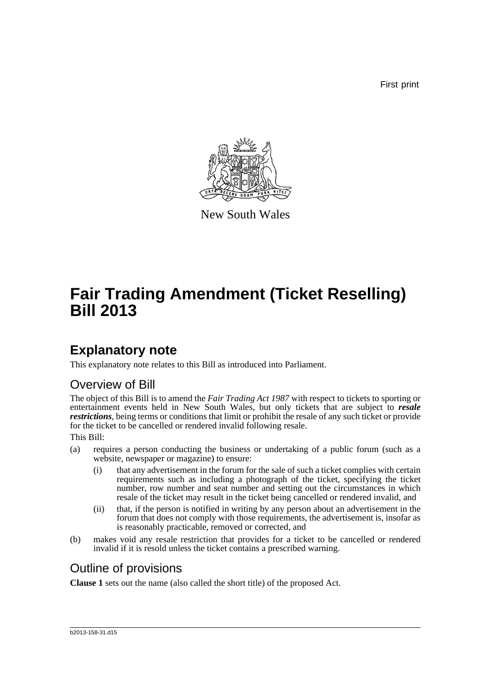First print



New South Wales

# **Fair Trading Amendment (Ticket Reselling) Bill 2013**

### **Explanatory note**

This explanatory note relates to this Bill as introduced into Parliament.

### Overview of Bill

The object of this Bill is to amend the *Fair Trading Act 1987* with respect to tickets to sporting or entertainment events held in New South Wales, but only tickets that are subject to *resale restrictions*, being terms or conditions that limit or prohibit the resale of any such ticket or provide for the ticket to be cancelled or rendered invalid following resale.

This Bill:

- (a) requires a person conducting the business or undertaking of a public forum (such as a website, newspaper or magazine) to ensure:
	- (i) that any advertisement in the forum for the sale of such a ticket complies with certain requirements such as including a photograph of the ticket, specifying the ticket number, row number and seat number and setting out the circumstances in which resale of the ticket may result in the ticket being cancelled or rendered invalid, and
	- (ii) that, if the person is notified in writing by any person about an advertisement in the forum that does not comply with those requirements, the advertisement is, insofar as is reasonably practicable, removed or corrected, and
- (b) makes void any resale restriction that provides for a ticket to be cancelled or rendered invalid if it is resold unless the ticket contains a prescribed warning.

### Outline of provisions

**Clause 1** sets out the name (also called the short title) of the proposed Act.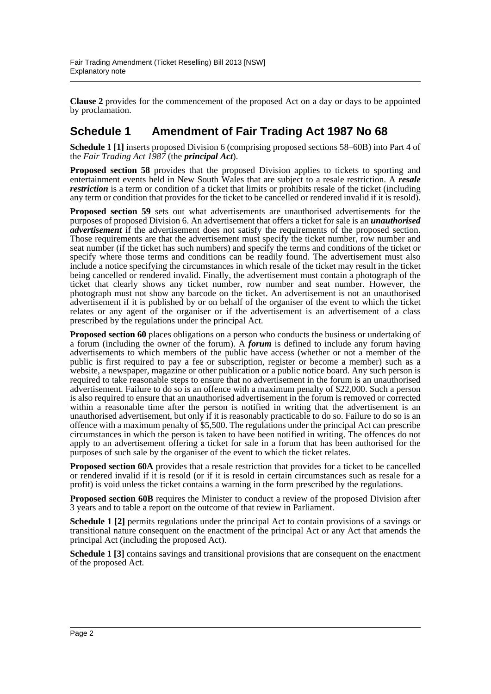**Clause 2** provides for the commencement of the proposed Act on a day or days to be appointed by proclamation.

#### **Schedule 1 Amendment of Fair Trading Act 1987 No 68**

**Schedule 1 [1]** inserts proposed Division 6 (comprising proposed sections 58–60B) into Part 4 of the *Fair Trading Act 1987* (the *principal Act*).

**Proposed section 58** provides that the proposed Division applies to tickets to sporting and entertainment events held in New South Wales that are subject to a resale restriction. A *resale restriction* is a term or condition of a ticket that limits or prohibits resale of the ticket (including any term or condition that provides for the ticket to be cancelled or rendered invalid if it is resold).

**Proposed section 59** sets out what advertisements are unauthorised advertisements for the purposes of proposed Division 6. An advertisement that offers a ticket for sale is an *unauthorised advertisement* if the advertisement does not satisfy the requirements of the proposed section. Those requirements are that the advertisement must specify the ticket number, row number and seat number (if the ticket has such numbers) and specify the terms and conditions of the ticket or specify where those terms and conditions can be readily found. The advertisement must also include a notice specifying the circumstances in which resale of the ticket may result in the ticket being cancelled or rendered invalid. Finally, the advertisement must contain a photograph of the ticket that clearly shows any ticket number, row number and seat number. However, the photograph must not show any barcode on the ticket. An advertisement is not an unauthorised advertisement if it is published by or on behalf of the organiser of the event to which the ticket relates or any agent of the organiser or if the advertisement is an advertisement of a class prescribed by the regulations under the principal Act.

**Proposed section 60** places obligations on a person who conducts the business or undertaking of a forum (including the owner of the forum). A *forum* is defined to include any forum having advertisements to which members of the public have access (whether or not a member of the public is first required to pay a fee or subscription, register or become a member) such as a website, a newspaper, magazine or other publication or a public notice board. Any such person is required to take reasonable steps to ensure that no advertisement in the forum is an unauthorised advertisement. Failure to do so is an offence with a maximum penalty of \$22,000. Such a person is also required to ensure that an unauthorised advertisement in the forum is removed or corrected within a reasonable time after the person is notified in writing that the advertisement is an unauthorised advertisement, but only if it is reasonably practicable to do so. Failure to do so is an offence with a maximum penalty of \$5,500. The regulations under the principal Act can prescribe circumstances in which the person is taken to have been notified in writing. The offences do not apply to an advertisement offering a ticket for sale in a forum that has been authorised for the purposes of such sale by the organiser of the event to which the ticket relates.

**Proposed section 60A** provides that a resale restriction that provides for a ticket to be cancelled or rendered invalid if it is resold (or if it is resold in certain circumstances such as resale for a profit) is void unless the ticket contains a warning in the form prescribed by the regulations.

**Proposed section 60B** requires the Minister to conduct a review of the proposed Division after 3 years and to table a report on the outcome of that review in Parliament.

**Schedule 1 [2]** permits regulations under the principal Act to contain provisions of a savings or transitional nature consequent on the enactment of the principal Act or any Act that amends the principal Act (including the proposed Act).

**Schedule 1** [3] contains savings and transitional provisions that are consequent on the enactment of the proposed Act.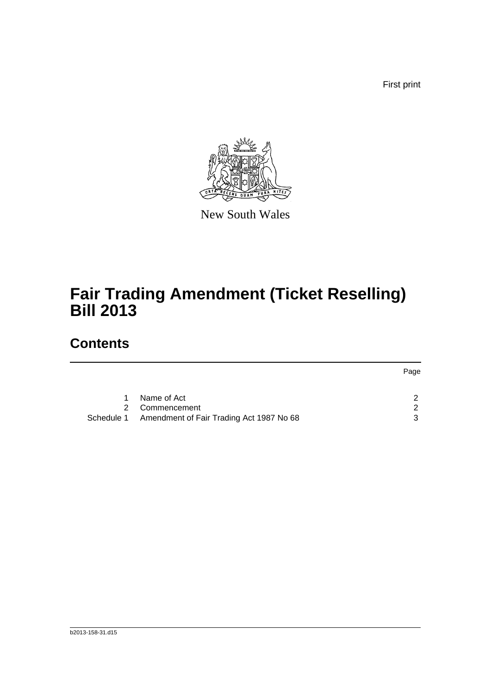First print



New South Wales

## **Fair Trading Amendment (Ticket Reselling) Bill 2013**

### **Contents**

|    |                                                     | Page |
|----|-----------------------------------------------------|------|
|    |                                                     |      |
| 1. | Name of Act                                         | ົ    |
|    | 2 Commencement                                      | - 2  |
|    | Schedule 1 Amendment of Fair Trading Act 1987 No 68 | ્ર   |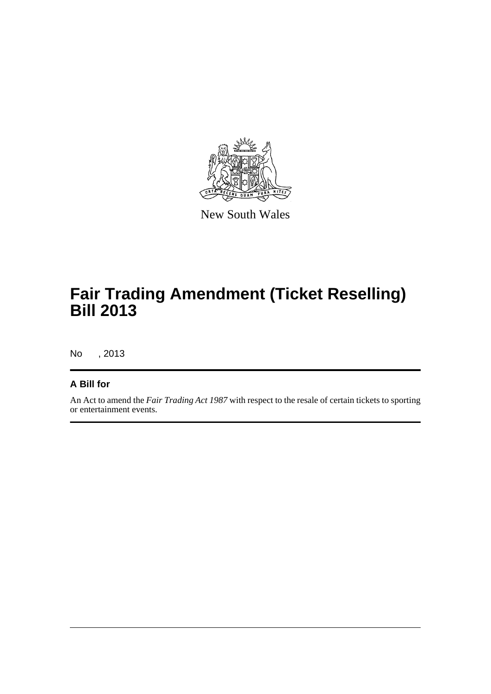

New South Wales

## **Fair Trading Amendment (Ticket Reselling) Bill 2013**

No , 2013

#### **A Bill for**

An Act to amend the *Fair Trading Act 1987* with respect to the resale of certain tickets to sporting or entertainment events.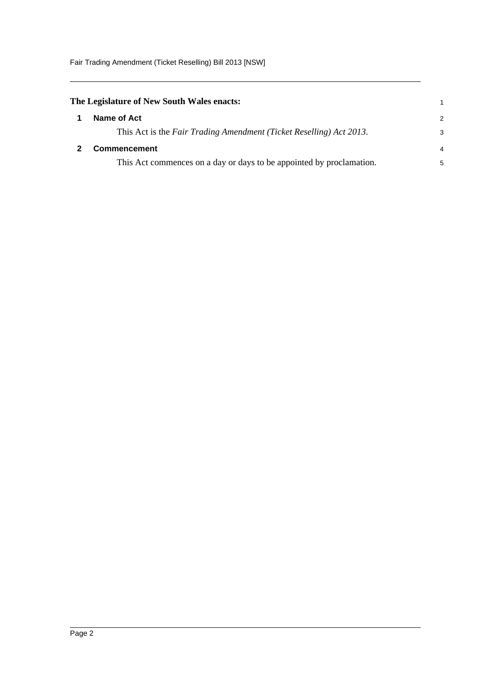Fair Trading Amendment (Ticket Reselling) Bill 2013 [NSW]

<span id="page-4-1"></span><span id="page-4-0"></span>

| The Legislature of New South Wales enacts:                           |               |
|----------------------------------------------------------------------|---------------|
| Name of Act                                                          | $\mathcal{P}$ |
| This Act is the Fair Trading Amendment (Ticket Reselling) Act 2013.  | 3             |
| <b>Commencement</b>                                                  |               |
| This Act commences on a day or days to be appointed by proclamation. | 5             |
|                                                                      |               |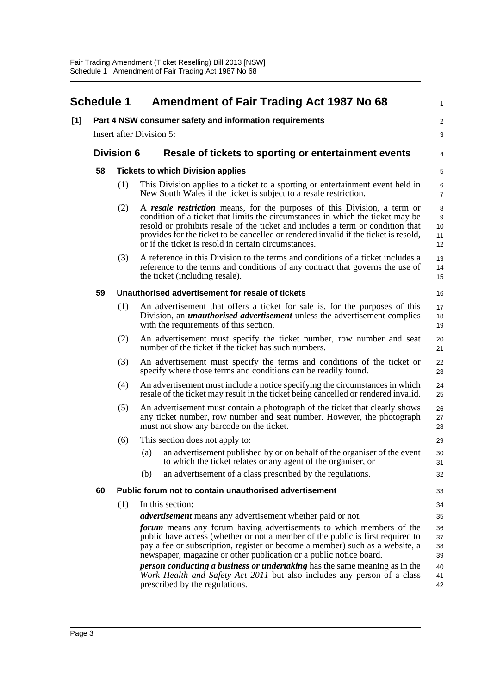<span id="page-5-0"></span>

|     | <b>Schedule 1</b> |                   | <b>Amendment of Fair Trading Act 1987 No 68</b>                                                                                                                                                                                                                                                                                                                                              | 1                                       |
|-----|-------------------|-------------------|----------------------------------------------------------------------------------------------------------------------------------------------------------------------------------------------------------------------------------------------------------------------------------------------------------------------------------------------------------------------------------------------|-----------------------------------------|
| [1] |                   |                   | Part 4 NSW consumer safety and information requirements                                                                                                                                                                                                                                                                                                                                      | $\overline{c}$                          |
|     |                   |                   | <b>Insert after Division 5:</b>                                                                                                                                                                                                                                                                                                                                                              | 3                                       |
|     |                   | <b>Division 6</b> | Resale of tickets to sporting or entertainment events                                                                                                                                                                                                                                                                                                                                        | 4                                       |
|     | 58                |                   | <b>Tickets to which Division applies</b>                                                                                                                                                                                                                                                                                                                                                     | 5                                       |
|     |                   | (1)               | This Division applies to a ticket to a sporting or entertainment event held in<br>New South Wales if the ticket is subject to a resale restriction.                                                                                                                                                                                                                                          | 6<br>$\boldsymbol{7}$                   |
|     |                   | (2)               | A resale restriction means, for the purposes of this Division, a term or<br>condition of a ticket that limits the circumstances in which the ticket may be<br>resold or prohibits resale of the ticket and includes a term or condition that<br>provides for the ticket to be cancelled or rendered invalid if the ticket is resold,<br>or if the ticket is resold in certain circumstances. | 8<br>$\boldsymbol{9}$<br>10<br>11<br>12 |
|     |                   | (3)               | A reference in this Division to the terms and conditions of a ticket includes a<br>reference to the terms and conditions of any contract that governs the use of<br>the ticket (including resale).                                                                                                                                                                                           | 13<br>14<br>15                          |
|     | 59                |                   | Unauthorised advertisement for resale of tickets                                                                                                                                                                                                                                                                                                                                             | 16                                      |
|     |                   | (1)               | An advertisement that offers a ticket for sale is, for the purposes of this<br>Division, an <i>unauthorised advertisement</i> unless the advertisement complies<br>with the requirements of this section.                                                                                                                                                                                    | 17<br>18<br>19                          |
|     |                   | (2)               | An advertisement must specify the ticket number, row number and seat<br>number of the ticket if the ticket has such numbers.                                                                                                                                                                                                                                                                 | 20<br>21                                |
|     |                   | (3)               | An advertisement must specify the terms and conditions of the ticket or<br>specify where those terms and conditions can be readily found.                                                                                                                                                                                                                                                    | 22<br>23                                |
|     |                   | (4)               | An advertisement must include a notice specifying the circumstances in which<br>resale of the ticket may result in the ticket being cancelled or rendered invalid.                                                                                                                                                                                                                           | 24<br>25                                |
|     |                   | (5)               | An advertisement must contain a photograph of the ticket that clearly shows<br>any ticket number, row number and seat number. However, the photograph<br>must not show any barcode on the ticket.                                                                                                                                                                                            | 26<br>27<br>28                          |
|     |                   | (6)               | This section does not apply to:                                                                                                                                                                                                                                                                                                                                                              | 29                                      |
|     |                   |                   | an advertisement published by or on behalf of the organiser of the event<br>(a)<br>to which the ticket relates or any agent of the organiser, or                                                                                                                                                                                                                                             | 30<br>31                                |
|     |                   |                   | an advertisement of a class prescribed by the regulations.<br>(b)                                                                                                                                                                                                                                                                                                                            | 32                                      |
|     | 60                |                   | Public forum not to contain unauthorised advertisement                                                                                                                                                                                                                                                                                                                                       | 33                                      |
|     |                   | (1)               | In this section:                                                                                                                                                                                                                                                                                                                                                                             | 34                                      |
|     |                   |                   | <i>advertisement</i> means any advertisement whether paid or not.                                                                                                                                                                                                                                                                                                                            | 35                                      |
|     |                   |                   | forum means any forum having advertisements to which members of the<br>public have access (whether or not a member of the public is first required to<br>pay a fee or subscription, register or become a member) such as a website, a<br>newspaper, magazine or other publication or a public notice board.                                                                                  | 36<br>37<br>38<br>39                    |
|     |                   |                   | <i>person conducting a business or undertaking</i> has the same meaning as in the<br>Work Health and Safety Act 2011 but also includes any person of a class<br>prescribed by the regulations.                                                                                                                                                                                               | 40<br>41<br>42                          |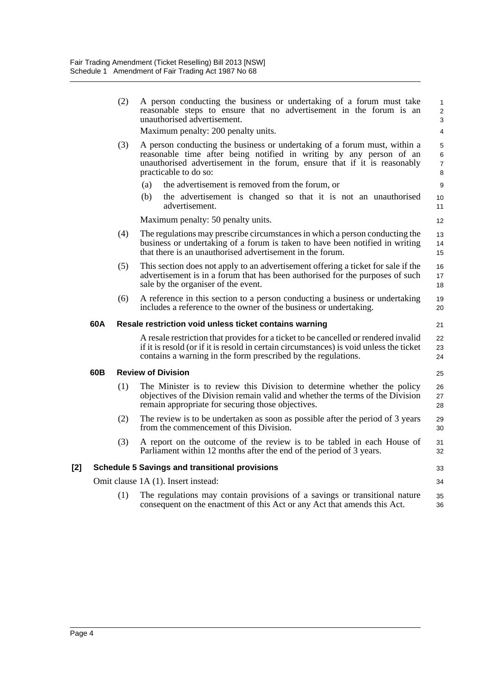|     |     | (2) | A person conducting the business or undertaking of a forum must take<br>reasonable steps to ensure that no advertisement in the forum is an<br>unauthorised advertisement.                                                                            | $\mathbf{1}$<br>$\overline{c}$<br>3 |
|-----|-----|-----|-------------------------------------------------------------------------------------------------------------------------------------------------------------------------------------------------------------------------------------------------------|-------------------------------------|
|     |     |     | Maximum penalty: 200 penalty units.                                                                                                                                                                                                                   | 4                                   |
|     |     | (3) | A person conducting the business or undertaking of a forum must, within a<br>reasonable time after being notified in writing by any person of an<br>unauthorised advertisement in the forum, ensure that if it is reasonably<br>practicable to do so: | 5<br>6<br>$\overline{7}$<br>8       |
|     |     |     | the advertisement is removed from the forum, or<br>(a)                                                                                                                                                                                                | 9                                   |
|     |     |     | (b)<br>the advertisement is changed so that it is not an unauthorised<br>advertisement.                                                                                                                                                               | 10 <sup>10</sup><br>11              |
|     |     |     | Maximum penalty: 50 penalty units.                                                                                                                                                                                                                    | 12                                  |
|     |     | (4) | The regulations may prescribe circumstances in which a person conducting the<br>business or undertaking of a forum is taken to have been notified in writing<br>that there is an unauthorised advertisement in the forum.                             | 13<br>14<br>15                      |
|     |     | (5) | This section does not apply to an advertisement offering a ticket for sale if the<br>advertisement is in a forum that has been authorised for the purposes of such<br>sale by the organiser of the event.                                             | 16<br>17<br>18                      |
|     |     | (6) | A reference in this section to a person conducting a business or undertaking<br>includes a reference to the owner of the business or undertaking.                                                                                                     | 19<br>20                            |
|     | 60A |     | Resale restriction void unless ticket contains warning                                                                                                                                                                                                | 21                                  |
|     |     |     | A resale restriction that provides for a ticket to be cancelled or rendered invalid<br>if it is resold (or if it is resold in certain circumstances) is void unless the ticket<br>contains a warning in the form prescribed by the regulations.       | 22<br>23<br>24                      |
|     | 60B |     | <b>Review of Division</b>                                                                                                                                                                                                                             | 25                                  |
|     |     | (1) | The Minister is to review this Division to determine whether the policy<br>objectives of the Division remain valid and whether the terms of the Division<br>remain appropriate for securing those objectives.                                         | 26<br>27<br>28                      |
|     |     | (2) | The review is to be undertaken as soon as possible after the period of 3 years<br>from the commencement of this Division.                                                                                                                             | 29<br>30                            |
|     |     | (3) | A report on the outcome of the review is to be tabled in each House of<br>Parliament within 12 months after the end of the period of 3 years.                                                                                                         | 31<br>32                            |
| [2] |     |     | <b>Schedule 5 Savings and transitional provisions</b>                                                                                                                                                                                                 | 33                                  |
|     |     |     | Omit clause 1A (1). Insert instead:                                                                                                                                                                                                                   | 34                                  |
|     |     | (1) | The regulations may contain provisions of a savings or transitional nature<br>consequent on the enactment of this Act or any Act that amends this Act.                                                                                                | 35<br>36                            |
|     |     |     |                                                                                                                                                                                                                                                       |                                     |